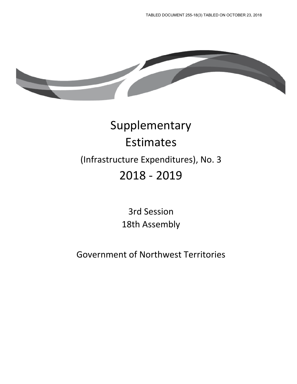

# Supplementary Estimates (Infrastructure Expenditures), No. 3 2018 - 2019

3rd Session 18th Assembly

Government of Northwest Territories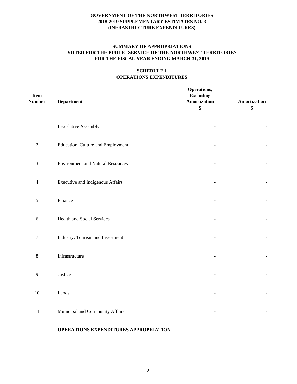# **SUMMARY OF APPROPRIATIONS VOTED FOR THE PUBLIC SERVICE OF THE NORTHWEST TERRITORIES FOR THE FISCAL YEAR ENDING MARCH 31, 2019**

## **SCHEDULE 1 OPERATIONS EXPENDITURES**

| <b>Item</b><br><b>Number</b> | <b>Department</b>                        | Operations,<br><b>Excluding</b><br>Amortization<br>\$ | Amortization<br>\$ |
|------------------------------|------------------------------------------|-------------------------------------------------------|--------------------|
| $\,1\,$                      | Legislative Assembly                     |                                                       |                    |
| $\sqrt{2}$                   | Education, Culture and Employment        |                                                       |                    |
| 3                            | <b>Environment and Natural Resources</b> |                                                       |                    |
| 4                            | <b>Executive and Indigenous Affairs</b>  |                                                       |                    |
| $\mathfrak s$                | Finance                                  |                                                       |                    |
| 6                            | Health and Social Services               |                                                       |                    |
| $\tau$                       | Industry, Tourism and Investment         |                                                       |                    |
| 8                            | Infrastructure                           |                                                       |                    |
| 9                            | Justice                                  |                                                       |                    |
| $10\,$                       | Lands                                    |                                                       |                    |
| $11\,$                       | Municipal and Community Affairs          |                                                       |                    |
|                              | OPERATIONS EXPENDITURES APPROPRIATION    | ٠                                                     |                    |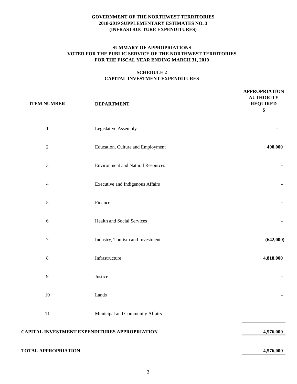# **SUMMARY OF APPROPRIATIONS VOTED FOR THE PUBLIC SERVICE OF THE NORTHWEST TERRITORIES FOR THE FISCAL YEAR ENDING MARCH 31, 2019**

# **SCHEDULE 2 CAPITAL INVESTMENT EXPENDITURES**

| <b>ITEM NUMBER</b>          | <b>DEPARTMENT</b>                                    | <b>APPROPRIATION</b><br><b>AUTHORITY</b><br><b>REQUIRED</b><br>\$ |
|-----------------------------|------------------------------------------------------|-------------------------------------------------------------------|
| $\mathbf 1$                 | Legislative Assembly                                 |                                                                   |
| $\sqrt{2}$                  | Education, Culture and Employment                    | 400,000                                                           |
| $\ensuremath{\mathfrak{Z}}$ | <b>Environment and Natural Resources</b>             |                                                                   |
| $\overline{4}$              | <b>Executive and Indigenous Affairs</b>              |                                                                   |
| $\sqrt{5}$                  | Finance                                              |                                                                   |
| $\sqrt{6}$                  | <b>Health and Social Services</b>                    |                                                                   |
| $\boldsymbol{7}$            | Industry, Tourism and Investment                     | (642,000)                                                         |
| $\,$ 8 $\,$                 | Infrastructure                                       | 4,818,000                                                         |
| 9                           | Justice                                              |                                                                   |
| $10\,$                      | Lands                                                |                                                                   |
| $11\,$                      | Municipal and Community Affairs                      |                                                                   |
|                             | <b>CAPITAL INVESTMENT EXPENDITURES APPROPRIATION</b> | 4,576,000                                                         |
| <b>TOTAL APPROPRIATION</b>  |                                                      | 4,576,000                                                         |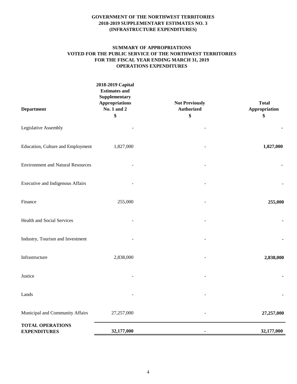#### **SUMMARY OF APPROPRIATIONS VOTED FOR THE PUBLIC SERVICE OF THE NORTHWEST TERRITORIES FOR THE FISCAL YEAR ENDING MARCH 31, 2019 OPERATIONS EXPENDITURES**

| <b>Department</b>                              | 2018-2019 Capital<br><b>Estimates and</b><br><b>Supplementary</b><br><b>Appropriations</b><br>No. 1 and 2<br>\$ | <b>Not Previously</b><br><b>Authorized</b><br>\$ | <b>Total</b><br>Appropriation<br>\$ |
|------------------------------------------------|-----------------------------------------------------------------------------------------------------------------|--------------------------------------------------|-------------------------------------|
| Legislative Assembly                           |                                                                                                                 |                                                  |                                     |
| Education, Culture and Employment              | 1,827,000                                                                                                       |                                                  | 1,827,000                           |
| <b>Environment and Natural Resources</b>       |                                                                                                                 |                                                  |                                     |
| Executive and Indigenous Affairs               |                                                                                                                 |                                                  |                                     |
| Finance                                        | 255,000                                                                                                         |                                                  | 255,000                             |
| Health and Social Services                     |                                                                                                                 |                                                  |                                     |
| Industry, Tourism and Investment               |                                                                                                                 |                                                  |                                     |
| Infrastructure                                 | 2,838,000                                                                                                       |                                                  | 2,838,000                           |
| Justice                                        |                                                                                                                 |                                                  |                                     |
| Lands                                          |                                                                                                                 |                                                  |                                     |
| Municipal and Community Affairs                | 27,257,000                                                                                                      |                                                  | 27,257,000                          |
| <b>TOTAL OPERATIONS</b><br><b>EXPENDITURES</b> | 32,177,000                                                                                                      |                                                  | 32,177,000                          |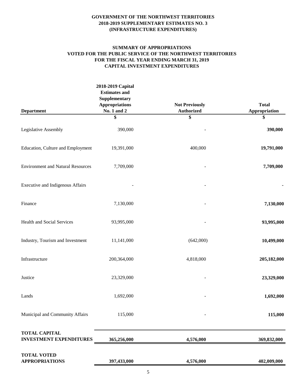## **SUMMARY OF APPROPRIATIONS VOTED FOR THE PUBLIC SERVICE OF THE NORTHWEST TERRITORIES FOR THE FISCAL YEAR ENDING MARCH 31, 2019 CAPITAL INVESTMENT EXPENDITURES**

|                                                        | 2018-2019 Capital<br><b>Estimates and</b><br>Supplementary |                                            |                               |
|--------------------------------------------------------|------------------------------------------------------------|--------------------------------------------|-------------------------------|
| <b>Department</b>                                      | <b>Appropriations</b><br>No. 1 and 2                       | <b>Not Previously</b><br><b>Authorized</b> | <b>Total</b><br>Appropriation |
|                                                        | \$                                                         | \$                                         | \$                            |
| Legislative Assembly                                   | 390,000                                                    |                                            | 390,000                       |
| Education, Culture and Employment                      | 19,391,000                                                 | 400,000                                    | 19,791,000                    |
| <b>Environment and Natural Resources</b>               | 7,709,000                                                  |                                            | 7,709,000                     |
| Executive and Indigenous Affairs                       |                                                            |                                            |                               |
| Finance                                                | 7,130,000                                                  |                                            | 7,130,000                     |
| Health and Social Services                             | 93,995,000                                                 |                                            | 93,995,000                    |
| Industry, Tourism and Investment                       | 11,141,000                                                 | (642,000)                                  | 10,499,000                    |
| Infrastructure                                         | 200,364,000                                                | 4,818,000                                  | 205,182,000                   |
| Justice                                                | 23,329,000                                                 |                                            | 23,329,000                    |
| Lands                                                  | 1,692,000                                                  |                                            | 1,692,000                     |
| Municipal and Community Affairs                        | 115,000                                                    |                                            | 115,000                       |
| <b>TOTAL CAPITAL</b><br><b>INVESTMENT EXPENDITURES</b> | 365,256,000                                                | 4,576,000                                  | 369,832,000                   |
| <b>TOTAL VOTED</b><br><b>APPROPRIATIONS</b>            | 397,433,000                                                | 4,576,000                                  | 402,009,000                   |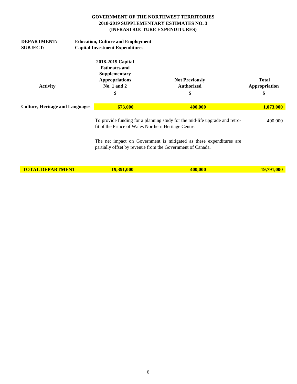| <b>DEPARTMENT:</b><br><b>SUBJECT:</b>  | <b>Education, Culture and Employment</b><br><b>Capital Investment Expenditures</b>                         |                                                                                                                                     |                                     |  |
|----------------------------------------|------------------------------------------------------------------------------------------------------------|-------------------------------------------------------------------------------------------------------------------------------------|-------------------------------------|--|
| <b>Activity</b>                        | 2018-2019 Capital<br><b>Estimates and</b><br>Supplementary<br><b>Appropriations</b><br>No. 1 and $2$<br>\$ | <b>Not Previously</b><br><b>Authorized</b><br>\$                                                                                    | <b>Total</b><br>Appropriation<br>\$ |  |
| <b>Culture, Heritage and Languages</b> | 673,000                                                                                                    | 400,000                                                                                                                             | 1,073,000                           |  |
|                                        |                                                                                                            | To provide funding for a planning study for the mid-life upgrade and retro-<br>fit of the Prince of Wales Northern Heritage Centre. |                                     |  |
|                                        |                                                                                                            | The net impact on Government is mitigated as these expenditures are<br>partially offset by revenue from the Government of Canada.   |                                     |  |
| <b>TOTAL DEPARTMENT</b>                | <b>19,391,000</b>                                                                                          | 400,000                                                                                                                             | <b>19,791,000</b>                   |  |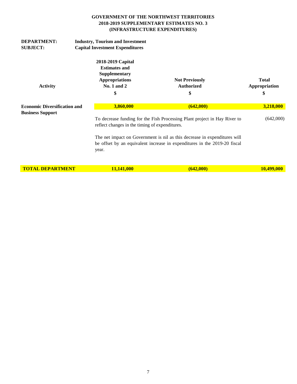| <b>DEPARTMENT:</b><br><b>SUBJECT:</b> | <b>Industry, Tourism and Investment</b><br><b>Capital Investment Expenditures</b>                          |                                                                                                                                                                                                                                                                                       |                                     |  |
|---------------------------------------|------------------------------------------------------------------------------------------------------------|---------------------------------------------------------------------------------------------------------------------------------------------------------------------------------------------------------------------------------------------------------------------------------------|-------------------------------------|--|
| <b>Activity</b>                       | 2018-2019 Capital<br><b>Estimates and</b><br>Supplementary<br><b>Appropriations</b><br>No. 1 and $2$<br>\$ | <b>Not Previously</b><br><b>Authorized</b><br>\$                                                                                                                                                                                                                                      | <b>Total</b><br>Appropriation<br>\$ |  |
| <b>Economic Diversification and</b>   | 3,860,000                                                                                                  | (642,000)                                                                                                                                                                                                                                                                             | 3,218,000                           |  |
| <b>Business Support</b>               | year.                                                                                                      | To decrease funding for the Fish Processing Plant project in Hay River to<br>reflect changes in the timing of expenditures.<br>The net impact on Government is nil as this decrease in expenditures will<br>be offset by an equivalent increase in expenditures in the 2019-20 fiscal |                                     |  |
| <b>TOTAL DEPARTMENT</b>               | 11,141,000                                                                                                 | (642,000)                                                                                                                                                                                                                                                                             | 10,499,000                          |  |